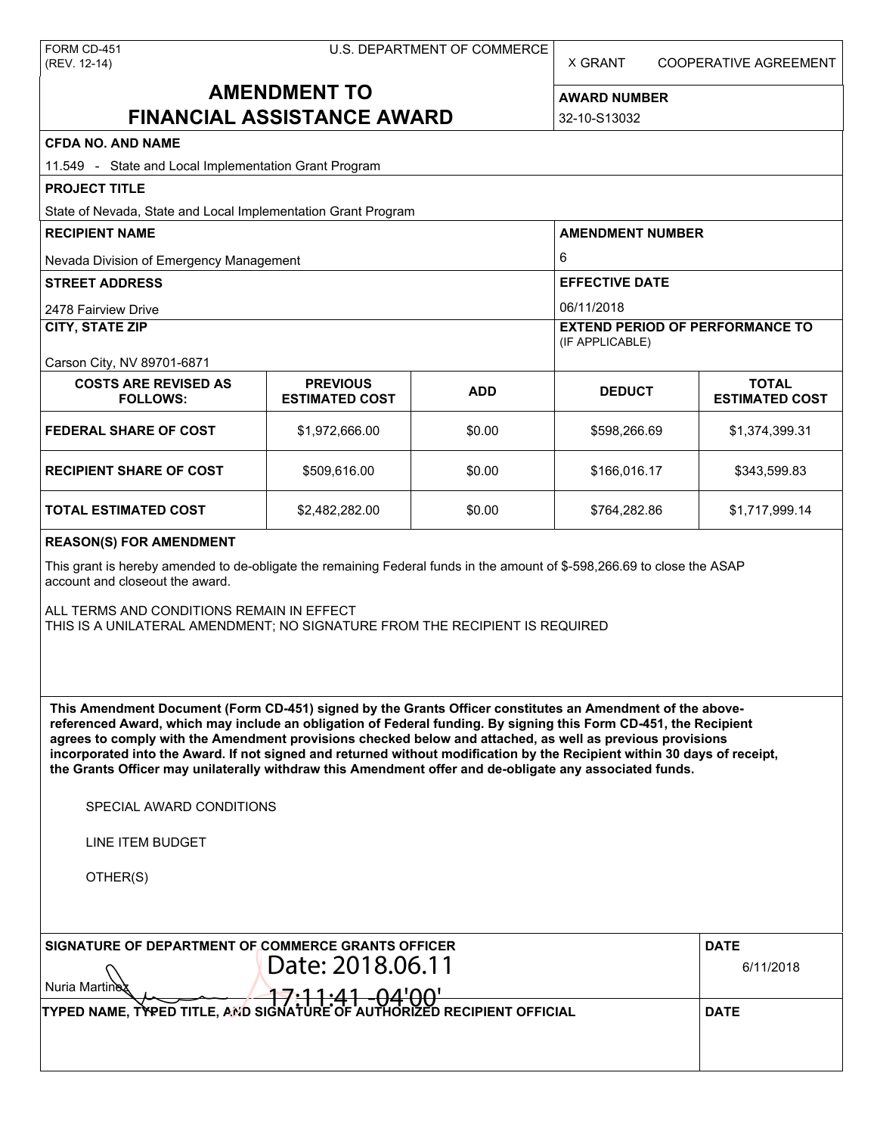X GRANT COOPERATIVE AGREEMENT

# **AMENDMENT TO FINANCIAL ASSISTANCE AWARD**

**AWARD NUMBER** 32-10-S13032

| <b>CFDA NO. AND NAME</b>                                                                                                                                                                                                                                                                                                                                                                                                                                                                                                                                                                                                                      |                       |             |                                                           |                       |  |  |  |
|-----------------------------------------------------------------------------------------------------------------------------------------------------------------------------------------------------------------------------------------------------------------------------------------------------------------------------------------------------------------------------------------------------------------------------------------------------------------------------------------------------------------------------------------------------------------------------------------------------------------------------------------------|-----------------------|-------------|-----------------------------------------------------------|-----------------------|--|--|--|
| 11.549 - State and Local Implementation Grant Program                                                                                                                                                                                                                                                                                                                                                                                                                                                                                                                                                                                         |                       |             |                                                           |                       |  |  |  |
| <b>PROJECT TITLE</b>                                                                                                                                                                                                                                                                                                                                                                                                                                                                                                                                                                                                                          |                       |             |                                                           |                       |  |  |  |
| State of Nevada, State and Local Implementation Grant Program                                                                                                                                                                                                                                                                                                                                                                                                                                                                                                                                                                                 |                       |             |                                                           |                       |  |  |  |
| <b>RECIPIENT NAME</b>                                                                                                                                                                                                                                                                                                                                                                                                                                                                                                                                                                                                                         |                       |             | <b>AMENDMENT NUMBER</b>                                   |                       |  |  |  |
| Nevada Division of Emergency Management                                                                                                                                                                                                                                                                                                                                                                                                                                                                                                                                                                                                       |                       |             | 6                                                         |                       |  |  |  |
| <b>STREET ADDRESS</b>                                                                                                                                                                                                                                                                                                                                                                                                                                                                                                                                                                                                                         |                       |             | <b>EFFECTIVE DATE</b>                                     |                       |  |  |  |
| 2478 Fairview Drive                                                                                                                                                                                                                                                                                                                                                                                                                                                                                                                                                                                                                           |                       |             | 06/11/2018                                                |                       |  |  |  |
| <b>CITY, STATE ZIP</b>                                                                                                                                                                                                                                                                                                                                                                                                                                                                                                                                                                                                                        |                       |             | <b>EXTEND PERIOD OF PERFORMANCE TO</b><br>(IF APPLICABLE) |                       |  |  |  |
| Carson City, NV 89701-6871<br><b>COSTS ARE REVISED AS</b>                                                                                                                                                                                                                                                                                                                                                                                                                                                                                                                                                                                     | <b>PREVIOUS</b>       |             |                                                           | <b>TOTAL</b>          |  |  |  |
| <b>FOLLOWS:</b>                                                                                                                                                                                                                                                                                                                                                                                                                                                                                                                                                                                                                               | <b>ESTIMATED COST</b> | <b>ADD</b>  | <b>DEDUCT</b>                                             | <b>ESTIMATED COST</b> |  |  |  |
| <b>FEDERAL SHARE OF COST</b>                                                                                                                                                                                                                                                                                                                                                                                                                                                                                                                                                                                                                  | \$1,972,666.00        | \$0.00      | \$598,266.69                                              | \$1,374,399.31        |  |  |  |
| <b>RECIPIENT SHARE OF COST</b>                                                                                                                                                                                                                                                                                                                                                                                                                                                                                                                                                                                                                | \$509,616.00          | \$0.00      | \$166,016.17                                              | \$343,599.83          |  |  |  |
| <b>TOTAL ESTIMATED COST</b>                                                                                                                                                                                                                                                                                                                                                                                                                                                                                                                                                                                                                   | \$2,482,282.00        | \$0.00      | \$764,282.86                                              | \$1,717,999.14        |  |  |  |
| <b>REASON(S) FOR AMENDMENT</b>                                                                                                                                                                                                                                                                                                                                                                                                                                                                                                                                                                                                                |                       |             |                                                           |                       |  |  |  |
| This grant is hereby amended to de-obligate the remaining Federal funds in the amount of \$-598,266.69 to close the ASAP<br>account and closeout the award.                                                                                                                                                                                                                                                                                                                                                                                                                                                                                   |                       |             |                                                           |                       |  |  |  |
| ALL TERMS AND CONDITIONS REMAIN IN EFFECT<br>THIS IS A UNILATERAL AMENDMENT; NO SIGNATURE FROM THE RECIPIENT IS REQUIRED                                                                                                                                                                                                                                                                                                                                                                                                                                                                                                                      |                       |             |                                                           |                       |  |  |  |
| This Amendment Document (Form CD-451) signed by the Grants Officer constitutes an Amendment of the above-<br>referenced Award, which may include an obligation of Federal funding. By signing this Form CD-451, the Recipient<br>agrees to comply with the Amendment provisions checked below and attached, as well as previous provisions<br>incorporated into the Award. If not signed and returned without modification by the Recipient within 30 days of receipt,<br>the Grants Officer may unilaterally withdraw this Amendment offer and de-obligate any associated funds.<br>SPECIAL AWARD CONDITIONS<br>LINE ITEM BUDGET<br>OTHER(S) |                       |             |                                                           |                       |  |  |  |
| SIGNATURE OF DEPARTMENT OF COMMERCE GRANTS OFFICER                                                                                                                                                                                                                                                                                                                                                                                                                                                                                                                                                                                            |                       |             |                                                           | <b>DATE</b>           |  |  |  |
| Date: 2018.06.11<br>Nuria Martine                                                                                                                                                                                                                                                                                                                                                                                                                                                                                                                                                                                                             | 6/11/2018             |             |                                                           |                       |  |  |  |
| TYPED NAME, TYPED TITLE, AND SIGNATURE OF AUTHORIZED RECIPIENT OFFICIAL                                                                                                                                                                                                                                                                                                                                                                                                                                                                                                                                                                       |                       | <b>DATE</b> |                                                           |                       |  |  |  |
|                                                                                                                                                                                                                                                                                                                                                                                                                                                                                                                                                                                                                                               |                       |             |                                                           |                       |  |  |  |